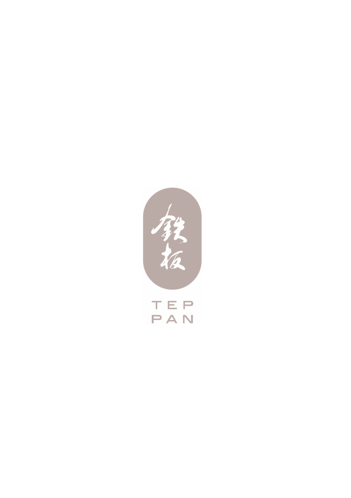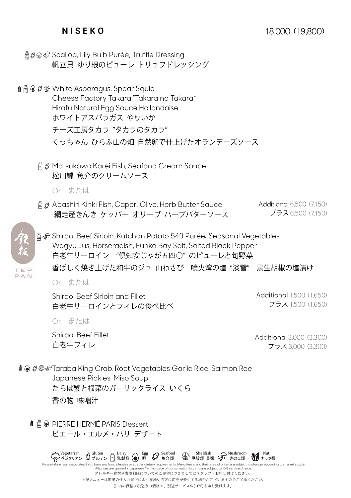## **N I S E K O**

- △ 日本の Scallop, Lily Bulb Purée, Truffle Dressing 帆立目 ゆり根のピューレ トリュフドレッシング
- ま △ の White Asparagus, Spear Squid Cheese Factory Takara "Takara no Takara\* Hirafu Natural Egg Sauce Hollandaise ホワイトアスパラガス やりいか チーズ工房タカラ "タカラのタカラ" くっちゃん ひらふ山の畑 自然卵で仕上げたオランデーズソース
	- □ Ø Matsukawa Karei Fish, Seafood Cream Sauce 松川鰈 魚介のクリームソース
		- Or または
	- Abashiri Kinki Fish, Caper, Olive, Herb Butter Sauce Additional 6,500 (7,150) プラス 6.500 (7.150) 網走産きんき ケッパー オリーブ ハーブバターソース



高 & Shiraoi Beef Sirloin, Kutchan Potato 540 Purée, Seasonal Vegetables Wagyu Jus, Horseradish, Funka Bay Salt, Salted Black Pepper 白老牛サーロイン "倶知安じゃが五四〇"のピューレと旬野菜 香ばしく焼き上げた和牛のジュ 山わさび 噴火湾の塩 "淡雪" 里生胡椒の塩清け

Or または

Shiraoi Beef Sirloin and Fillet 白老牛サーロインとフィレの食べ比べ Additional 1.500 (1.650) プラス 1500 (1650)

Or または

Shiraoi Beef Fillet 白老牛フィレ

Additional 3,000 (3,300) プラス 3,000 (3,300)

‡ ◉ \$@ङTaraba King Crab, Root Vegetables Garlic Rice, Salmon Roe Japanese Pickles, Miso Soup たらば蟹と根菜のガーリックライス いくら 香の物 味噌汁

ピエール・エルメ・パリ デザート

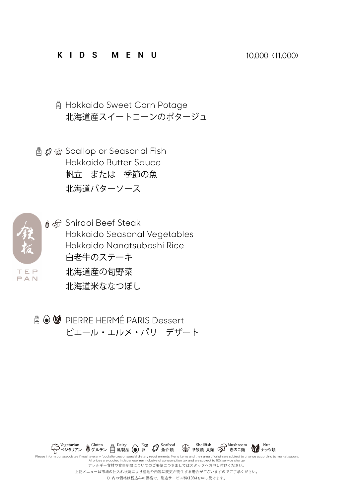## **K I D S M E N U**

□ Hokkaido Sweet Corn Potage 北海道産スイートコーンのポタージュ

△ ③ Scallop or Seasonal Fish Hokkaido Butter Sauce 帆立 または 季節の魚 北海道バターソース



≰ *a* Shiraoi Beef Steak Hokkaido Seasonal Vegetables Hokkaido Nanatsuboshi Rice 白老牛のステーキ 北海道産の旬野菜 北海道米ななつぼし

△ M PIFRRF HFRMÉ PARIS Dessert ピエール・エルメ・パリ デザート



All prices are quoted in Japanese Yen inclusive of consumption tax and are subject to 10% service. アレルギー食材や食事制限についてのご要望につきましてはスタッフへお申し付けください。 上記メニューは市場の仕入れ状況により産地や内容に変更が発生する場合がございますのでご了承ください。 () 内の価格は税込みの価格で、別途サービス料(10%)を申し受けます。